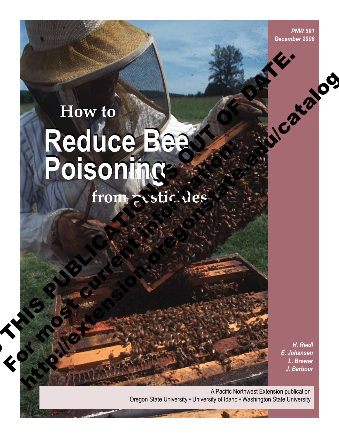*PNW 591 December 2006*

# **How to Reduce Bee Poisoning Reduce Bee Poisoning from pesticides** How to Reduce Beast to the poisoning **Poisoning**<br>from existeles<br>and the contract of the contract of the contract of the contract of the contract of the contract of the contract of the contract of the contract of the contract of the contract of the contract of How to<br>
Reduce Beach<br>
Poisoning<br>
from esticles<br>
Catalog Strategies.

**Rock Contracts** 

*H. Riedl E. Johansen L. Brewer J. Barbour*

A Pacific Northwest Extension publication Oregon State University • University of Idaho • Washington State University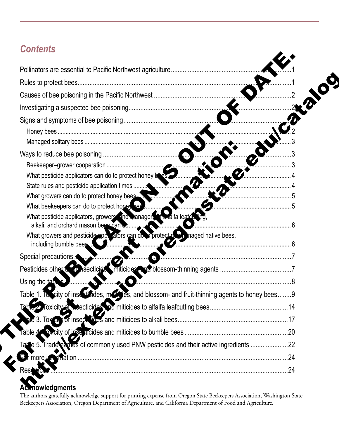# *Contents*

| What pesticide applicators can do to protect honey be as<br>$\boldsymbol{L}$                            |  |
|---------------------------------------------------------------------------------------------------------|--|
| What growers can do to protect honey bees.                                                              |  |
| What beekeepers can do to protect hopey bee                                                             |  |
| What pesticide applicators, growers and wanagers of walfa leafer the                                    |  |
| alkali, and orchard mason bees can co                                                                   |  |
| What growers and pesticide applicators can do protect not maged native bees,<br>including bumble bees.  |  |
| Special precautions                                                                                     |  |
|                                                                                                         |  |
| Using the table                                                                                         |  |
| Table 1. To scity of insectional cases, more des, and blossom- and fruit-thinning agents to honey bees9 |  |
|                                                                                                         |  |
|                                                                                                         |  |
|                                                                                                         |  |
| Take 5. Trade paries of commonly used PNW pesticides and their active ingredients 22                    |  |
|                                                                                                         |  |
|                                                                                                         |  |

# **Acknowledgments**

The authors gratefully acknowledge support for printing expense from Oregon State Beekeepers Association, Washington State Beekeepers Association, Oregon Department of Agriculture, and California Department of Food and Agriculture.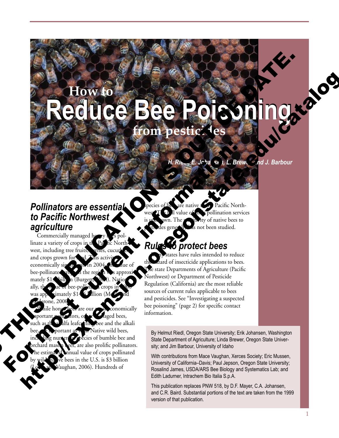# **How to Reduce Bee Poisoning Reduce Bee Poisoning from pesticides** Thomas are essential Continues to the Continues of the Continues of the Continues of the Continues of the Continues of the Continues of the Continues of the Continues of the Continues of the Continues of the Continues of t How to Bee Poisoning, a completed to the control of the control of the control of the control of the control of the control of the control of the control of the control of the control of the control of the control of the c

*H. Riedl, E. Johansen, L. Brewer, and J. Barbour*

# *Pollinators are essential to Pacific Northwest agriculture*

Commercially managed ho linate a variety of crops in west, including tree fruits, and crops grown for economically sig bee-pollinate mately  $$1$ . ally, the was approximately  $$14$ .<sup>6</sup> billion (M rone. 200 For  $\alpha$  most current information:<br>
For  $\alpha$  most current information:<br>
For  $\alpha$  most current information:<br>  $\alpha$  most current information:<br>  $\alpha$  most current information:<br>  $\alpha$  most current information:<br>  $\alpha$  most current

nomically laged bees, leafcut the bee and the alkali Native wild bees, ecies of bumble bee and s, are also prolific pollinators. nnual value of crops pollinated ive bees in the U.S. is \$3 billion aughan, 2006). Hundreds of

o

Pacific Northpollination services ty of native bees to s not been studied.

# *Rules to protect bees*

ates have rules intended to reduce the zard of insecticide applications to bees. The state Departments of Agriculture (Pacific Northwest) or Department of Pesticide Regulation (California) are the most reliable sources of current rules applicable to bees and pesticides. See "Investigating a suspected bee poisoning" (page 2) for specific contact information.

By Helmut Riedl, Oregon State University; Erik Johansen, Washington State Department of Agriculture; Linda Brewer, Oregon State University; and Jim Barbour, University of Idaho

With contributions from Mace Vaughan, Xerces Society; Eric Mussen, University of California–Davis; Paul Jepson, Oregon State University; Rosalind James, USDA/ARS Bee Biology and Systematics Lab; and Edith Ladurner, Intrachem Bio Italia S.p.A.

This publication replaces PNW 518, by D.F. Mayer, C.A. Johansen, and C.R. Baird. Substantial portions of the text are taken from the 1999 version of that publication.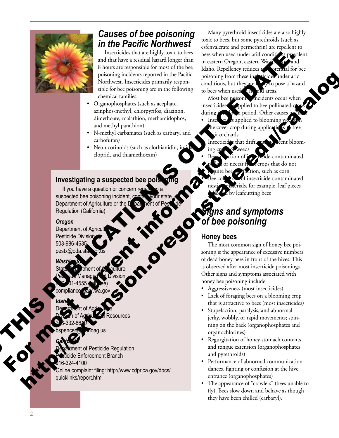

# *Causes of bee poisoning in the Pacific Northwest*

Insecticides that are highly toxic to bees and that have a residual hazard longer than 8 hours are responsible for most of the bee poisoning incidents reported in the Pacific Northwest. Insecticides primarily respon sible for bee poisoning are in the following chemical families: THE CONTRACT OF CATALOG SCIENCIS CONTRACT OF CATALOG SCIENCIS CONTRACT OF CATALOG SCIENCIS CONTRACT OF CATALOG SCIENCIS CONTRACT OF CATALOG SCIENCIS CONTRACT OF CATALOG SCIENCIS CONTRACT OF CATALOG SCIENCIS CONTRACT OF CAT

- Organophosphates (such as acephate, azinphos-methyl, chlorpyrifos, diazinon, dimethoate, malathion, methamidophos, and methyl parathion)
- N-methyl carbamates (such as carbaryl and carbofuran)
- Neonicotinoids (such as clothianidin, in cloprid, and thiamethoxam)

#### **Investigating a suspected bee point**

If you have a question or concern regarding a<br>spected bee poisoning incident, conternation state<br>partment of Agriculture or the Doament of Pessing<br>gulation (California). suspected bee poisoning incident, co Regulation (California). Frequency<br>
School and the method start as done<br>
deprived and the method scale is a contenent of Agriculture of Agriculture<br>
Thyperature of Agriculture of Agriculture of Agriculture of Agriculture of Agriculture of Agricult

#### *Oregon*

Department of Agriculture or the Deal hent of Pesticide<br>Regulation (California).<br>Oregon<br>Department of Agriculture or the Department of Agriculture<br>Pesticide Division<br>503-986-4635<br>pestx@oda.state or us<br>State of Pea Department of Agricul Pesticide Division 503-986-4635  $p$ estx@oda.s

#### *Washington*

State  $\sum_{i}$  tment of  $\sum_{i}$  culture Pesticide Management Division  $87.01-4555$  (b)  $\text{ee}$ ) compliance vaer.wa.gov

#### *Idaho*

Department of Agriculture esources 208-332-8610

- noag.us
- *California* ent of Pesticide Regulation e Enforcement Branch 916-324-4100

nline complaint filing: http://www.cdpr.ca.gov/docs/ quicklinks/report.htm

Many pyrethroid insecticides are also highly toxic to bees, but some pyrethroids (such as esfenvalerate and permethrin) are repellent to bees when used under arid conditions prevalent in eastern Oregon, eastern Was Idaho. Repellency reduces the potential for bee poisoning from these insecticides under arid conditions, but they are  $\sqrt{\sqrt{x}}$  to pose a hazard to bees when used in human areas.

Most bee poisoning incidents occur when insecticides are applied to bee-pollinated c during  $\mathbf{r}$  be a period. Other causes

- Insectice is applied to blooming we the cover crop during applications ut orchards
- Insecticides that drift onto a *d*eent bloomweeds
- ide-contaminated or nectar from crops that do not ination, such as corn of insecticide-contaminated erials, for example, leaf pieces by leafcutting bees

# *Signs and symptoms of bee poisoning*

#### **Honey bees**

The most common sign of honey bee poi soning is the appearance of excessive numbers of dead honey bees in front of the hives. This is observed after most insecticide poisonings. Other signs and symptoms associated with honey bee poisoning include: Herbert of Contact and Contact and Contact and Contact and Contact and Contact and Contact and Contact and Contact and Contact and Contact and Contact and Contact and Contact and Contact and Contact and Contact and Contact

- Aggressiveness (most insecticides)
- Lack of foraging bees on a blooming crop that is attractive to bees (most insecticides)
- Stupefaction, paralysis, and abnormal jerky, wobbly, or rapid movements; spin ning on the back (organophosphates and organochlorines)
- Regurgitation of honey stomach contents and tongue extension (organophosphates and pyrethroids)
- Performance of abnormal communication dances, fighting or confusion at the hive entrance (organophosphates)
- The appearance of "crawlers" (bees unable to fly). Bees slow down and behave as though they have been chilled (carbaryl).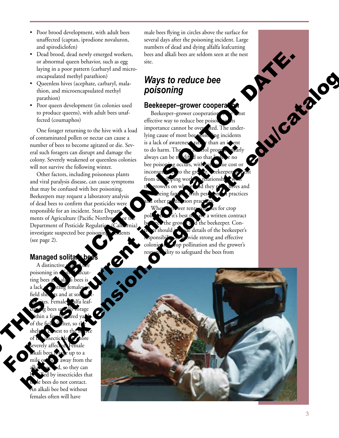- Poor brood development, with adult bees unaffected (captan, iprodione novaluron, and spirodiclofen)
- Dead brood, dead newly emerged workers, or abnormal queen behavior, such as egg laying in a poor pattern (carbaryl and micro encapsulated methyl parathion)
- Queenless hives (acephate, carbaryl, mala thion, and microencapsulated methyl parathion)
- Poor queen development (in colonies used to produce queens), with adult bees unaf fected (coumaphos)

One forager returning to the hive with a load of contaminated pollen or nectar can cause a number of bees to become agitated or die. Sev eral such foragers can disrupt and damage the colony. Severely weakened or queenless colonies will not survive the following winter.

Other factors, including poisonous plants and viral paralysis disease, can cause symptoms that may be confused with bee poisoning. Beekeepers may request a laboratory analysis of dead bees to confirm that pesticides were responsible for an incident. State Depart ments of Agriculture (Pacific Northw Department of Pesticide Regulation (Calif investigate suspected bee poiso (see page 2).

#### **Managed solita**

A distinctive poisoning in ting bees a a lack field ing sites. Female alfa leaf- $\text{cut}$  is bees used by forage ithin a few hundred yards of the field shelter, so the shelt  $\epsilon$  sest to the source of the insecticide and hore severely affected. Female iup to a away from the so they can by insecticides that e bees do not contact. An alkali bee bed without females often will have

o

male bees flying in circles above the surface for several days after the poisoning incident. Large numbers of dead and dying alfalfa leafcutting bees and alkali bees are seldom seen at the nest site.

# *Ways to reduce bee poisoning*

#### **Beekeeper-grower cooperations**

Beekeeper–grower cooperation effective way to reduce bee poiso importance cannot be over ated. The underlying cause of most bee poisoning incidents is a lack of awareness, rather than an intent to do harm. The pest control program nearly always can be modif  $\sharp$  so that bee poisoning occurs, with out to the cost or inconventier.  $\epsilon$  to the grower. from  $\alpha$  sloping work the growers on whose dathey place hives and being familiar with pest practices and other production practices. s for crop a written contract grow<sub>t</sub> and the beekeeper. Conte details of the beekeeper's wide strong and effective colonies **for pollination** and the grower's jlity to safeguard the bees from

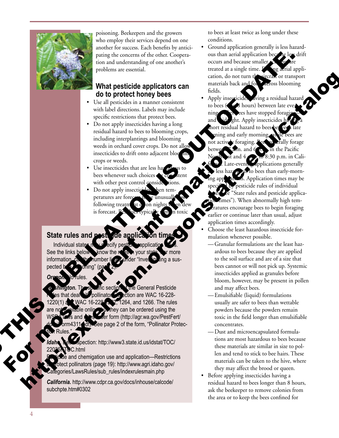

poisoning. Beekeepers and the growers who employ their services depend on one another for success. Each benefits by antici pating the concerns of the other. Coopera tion and understanding of one another's problems are essential.

#### **What pesticide applicators can do to protect honey bees**

- Use all pesticides in a manner consistent with label directions. Labels may include specific restrictions that protect bees.
- Do not apply insecticides having a long residual hazard to bees to blooming crops, including interplantings and blooming weeds in orchard cover crops. Do not allo insecticides to drift onto adjacent blooming crops or weeds.
- Use insecticides that are less hazar bees whenever such choices with other pest control consider
- Do not apply insecticides hen temperatures are foreg following treatm at **o** on night is forecast.

#### **State rules and post fide application**

Individual states See the links below information, call the number listed under "Investigating a suspected b

#### **Oregon. No rules.**

General Pesticide pollinator  $\sim$  pection are WAC 16-228- $NAC$  16-228-12 $\frac{2}{3}$ , 1264, and 1266. The rules able online, but they can be ordered using the er form (http://agr.wa.gov/PestFert/ 311<sup>1</sup>dh. See page 2 of the form, "Pollinator Protection Rules." week in orchest correct of the most current information of the most current information:<br>  $\frac{1}{2}$  and  $\frac{1}{2}$  and  $\frac{1}{2}$  and  $\frac{1}{2}$  and  $\frac{1}{2}$  and  $\frac{1}{2}$  and  $\frac{1}{2}$  and  $\frac{1}{2}$  and  $\frac{1}{2}$  and  $\frac{1$ 

pection: http://www3.state.id.us/idstat/TOC/ C.html

te and chemigation use and application—Restrictions tect pollinators (page 19): http://www.agri.idaho.gov/ ategories/LawsRules/sub\_rules/indexrulesmain.php

*California.* http://www.cdpr.ca.gov/docs/inhouse/calcode/subchpte.htm#0302

to bees at least twice as long under these conditions.

- Ground application generally is less hazard ous than aerial application because les drift occurs and because smaller treated at a single time. Duing aerial application, do not turn the aircran or transport materials back and for  $\mathcal{F}_{\text{at}$  across blooming fields.
- Apply insecticides aving a residual hazard to bees ( $\blacktriangleleft$  8 hours) between late evening—after ees have stopped foraging and vide ght. Apply insecticides ha short residual hazard to bees between  $\epsilon$ ening and early morning. not actively foraging. Bees generally forage  $\ln$ . and  $6$  p.m. in the Pacific 8:30 p.m. in Cali-Late-evening applications generally hazardous to bees than early-morns. Application times may be pesticide rules of individual se "State rules and pesticide applica-Imes"). When abnormally high temperatures encourage bees to begin foraging earlier or continue later than usual, adjust application times accordingly. THIS PUBLICATION IS OUT OF DATE. What pesticide applicators can<br>  $\frac{1}{2}$  the laximization in the catalogue of the catalogue of the catalogue of the catalogue of the catalogue of the catalogue of the catalogue of the catalogue of the catalogue of the ca
	- Choose the least hazardous insecticide for mulation whenever possible.
		- —Granular formulations are the least haz ardous to bees because they are applied to the soil surface and are of a size that bees cannot or will not pick up. Systemic insecticides applied as granules before bloom, however, may be present in pollen and may affect bees.
		- —Emulsifiable (liquid) formulations usually are safer to bees than wettable powders because the powders remain toxic in the field longer than emulsifiable concentrates.
	- —Dust and microencapsulated formula tions are most hazardous to bees because these materials are similar in size to pol len and tend to stick to bee hairs. These materials can be taken to the hive, where they may affect the brood or queen.
	- Before applying insecticides having a residual hazard to bees longer than 8 hours, ask the beekeeper to remove colonies from the area or to keep the bees confined for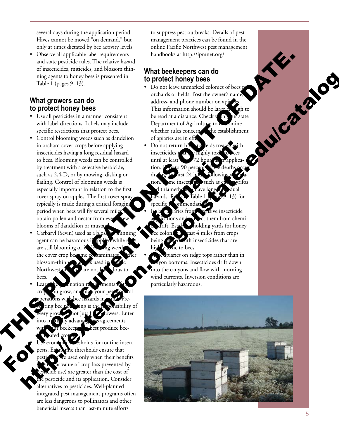several days during the application period. Hives cannot be moved "on demand," but only at times dictated by bee activity levels.

• Observe all applicable label requirements and state pesticide rules. The relative hazard of insecticides, miticides, and blossom thin ning agents to honey bees is presented in Table 1 (pages 9–13).

#### **What growers can do to protect honey bees**

- Use all pesticides in a manner consistent with label directions. Labels may include specific restrictions that protect bees.
- Control blooming weeds such as dandelion in orchard cover crops before applying insecticides having a long residual hazard to bees. Blooming weeds can be controlled by treatment with a selective herbicide, such as 2,4 -D, or by mowing, disking or flailing. Control of blooming weeds is especially important in relation to the first cover spray on apples. The first cover spray typically is made during a critical foraging period when bees will fly several miles obtain pollen and nectar from eve blooms of dandelion or musta in order of our strength of the most current in the section of the section of the section of the section of the section of the section of the section of the section of the section of the section of the section of the secti
	- Carbaryl (Sevin) used as a blos agent can be hazardous if are still blooming or if the cover crop become c blossom-thinning agents used in Pacific Northwest on the are not bees.
	- Learn the pollination requirements of the u grow, and operations with bee hazards in mind. Pre sibility of hot just fruit growers. Enter us agreements with your beekeep best produce beeph. ated crops.

o

holds for routine insect ic thresholds ensure that re used only when their benefits value of crop loss prevented by  $\overline{\text{index}}$  use) are greater than the cost of the pesticide and its application. Consider alternatives to pesticides. Well -planned integrated pest management programs often are less dangerous to pollinators and other beneficial insects than last -minute efforts

to suppress pest outbreaks. Details of pest management practices can be found in the online Pacific Northwest pest management handbooks at http://ipmnet.org/

### **What beekeepers can do to protect honey bees**

- Do not leave unmarked colonies of bees no orchards or fields. Post the owner's name, address, and phone number on apizzes. This information should be large enough to be read at a distance. Check with the read at a distance. Check with your state<br>Department of Agriculture to determine<br>whether rules concerni the establishment<br>of apiaries are in eff to<br>Do not return him to elds treated wi Department of Agriculture to determine whether rules concerning the establishment of apiaries are in effect.
- Do not return hives to elds treat insecticides t until at least tion.  $F_{4}$  or to 90 percent during the first 24 hours following a 25 ation.  $\sum_{n=1}^{\infty}$  me insecticides such as chaloryrifos thiame  $-13$ ) for specific recommendations.
- sive insecticide  $ct$  them from chemiholding yards for honey  $\cosh$   $\mathbf{e}$  ast 4 miles from crops ith insecticides that are  $\alpha$  to bees.
	- piaries on ridge tops rather than in yon bottoms. Insecticides drift down into the canyons and flow with morning wind currents. Inversion conditions are particularly hazardous.

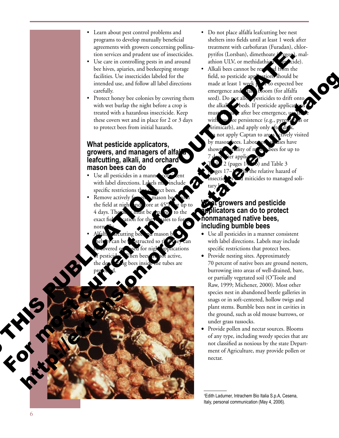- Learn about pest control problems and programs to develop mutually beneficial agreements with growers concerning pollina tion services and prudent use of insecticides.
- Use care in controlling pests in and around bee hives, apiaries, and beekeeping storage facilities. Use insecticides labeled for the intended use, and follow all label directions carefully.
- Protect honey bee colonies by covering them with wet burlap the night before a crop is treated with a hazardous insecticide. Keep these covers wet and in place for 2 or 3 days to protect bees from initial hazards.

#### **What pesticide applicators,**  growers, and managers of alfal **leafcutting, alkali, and orchard mason bees can do**

- Use all pesticides in a manne with label directions. Labels ma specific restrictions that  $p$  fect bees.
- Remove actively the field at night and tore at 4 days. The nest inust be exact fie norm $\mathbf{u}_{\mathbf{v}}$
- Alfalfa  $\mathcal{V}_{\text{arcutting}}$  bee and mason bee helt is can be constructed so that they can d cations active. the tubes are protected. What persisted applicators can be considered a manager of allah manager of allah manager of allah manager of allah manager of allah manager of allah manager of allah manager of allah manager of allah manager of allah mana
- Do not place alfalfa leafcutting bee nest shelters into fields until at least 1 week after treatment with carbofuran (Furadan), chlor pyrifos (Lorsban), dimethoate (Cygon), malathion ULV, or methidathion  $\sum_{i=1}^{\infty}$  cide).
- Alkali bees cannot be removed from the field, so pesticide applications should be made at least 1 week  $\mu$ <sup>2</sup>  $\mu$  to expected bee emergence and **tal bloom** (for alfalfa seed). Do not allow pesticides to drift onto the alkalized beds. If pesticide applications must be after bee emergence, use with  $\mathbf{w}$  dee persistence (e.g., pyrethroids or  $binimicarb$ , and apply only a not apply Captan to areas actively visited by mason bees. Laboratory studies have shown mortality of m<sub>so</sub> bees for up to applic Use the more than all publications contained the more of the stress and persistents. The more than the more than all the stress and the stress and the stress and the stress and the stress and the stress and the stress and Herbert Companies Companies and Companies and Companies and Companies and Companies and Companies and Companies and Companies and Companies and Companies and Companies and Companies and Companies and Companies and Companie

 $\approx$  2 (pages 14 $\rightarrow$ 6) and Table 3 is the relative hazard of miticides to managed solitary bees.

#### **rowers and pesticide applicators can do to protect nonmanaged native bees, including bumble bees**

- • Use all pesticides in a manner consistent with label directions. Labels may include specific restrictions that protect bees.
- Provide nesting sites. Approximately 70 percent of native bees are ground nesters, burrowing into areas of well-drained, bare, or partially vegetated soil (O'Toole and Raw, 1999; Michener, 2000). Most other species nest in abandoned beetle galleries in snags or in soft-centered, hollow twigs and plant stems. Bumble bees nest in cavities in the ground, such as old mouse burrows, or under grass tussocks.
- Provide pollen and nectar sources. Blooms of any type, including weedy species that are not classified as noxious by the state Depart ment of Agriculture, may provide pollen or nectar.

1 Edith Ladurner, Intrachem Bio Italia S.p.A, Cesena, Italy, personal communication (May 4, 2006).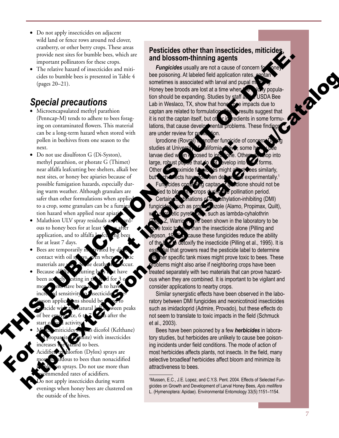7

- Do not apply insecticides on adjacent wild land or fence rows around red clover, cranberry, or other berry crops. These areas provide nest sites for bumble bees, which are important pollinators for these crops.
- The relative hazard of insecticides and miticides to bumble bees is presented in Table 4 (pages 20–21).

# *Special precautions*

- Microencapsulated methyl parathion (Penncap-M) tends to adhere to bees forag ing on contaminated flowers. This material can be a long-term hazard when stored with pollen in beehives from one season to the next.
- Do not use disulfoton G (Di-Syston), methyl parathion, or phorate G (Thimet) near alfalfa leafcutting bee shelters, alkali bee nest sites, or honey bee apiaries because of possible fumigation hazards, especially dur ing warm weather. Although granulars are safer than other formulations when applied to a crop, some granulars can be a fumi tion hazard when applied near apiar
- Malathion ULV spray residuals are ous to honey bees for at least application, and to alfalfa. for at least 7 days.
- $\bullet$  Bees are temporarily i contact with oil s materials are
- Because al been actively esting in the field for 3 or more, eks have been shown to have increased sensitivity to hecticide ns should en peaks after the start of field activity.
- Is dicofol (Kelthane)  $\overline{\text{m}}$ ite) with insecticides ard to bees.

o

- hlorfon (Dylox) sprays are ardous to bees than nonacidified on sprays. Do not use more than mmended rates of acidifiers. o not apply insecticides during warm
- evenings when honey bees are clustered on the outside of the hives.

#### **Pesticides other than insecticides, miticides, and blossom-thinning agents**

**Fungicides** usually are not a cause of concern for bee poisoning. At labeled field application rates, sometimes is associated with larval and pupal mo Honey bee broods are lost at a time when the colony popula-<br>tion should be expanding. Studies by staff at CUSDA Bee<br>Lab in Weslaco, TX, show that hone fore impacts due to<br>captan are related to formulation. The results of<br> tion should be expanding. Studies by staff at USDA Bee Lab in Weslaco, TX, show that hone to e impacts due to captan are related to formulation. These results suggest that it is not the captan itself, but other in redients in some formulations, that cause developmental problems. These findings are under review for publication.

Iprodione (Rovral) is another fungicide of concern studies at University of California–Davis, some h larvae died when exposed to into tone. Others decop into large, robust pupae that do  $\mathbb{R}$  be elop into  $\mathbb{R}$  forms. Other **Composimide fungicides might affect bees similarly,**  $\epsilon$  experimentally.<sup>1</sup> **D**dione should not be and to blooming crops during the pollination period.  $ethy$ lation-inhibiting (DMI) as propied azole (Alamo, Propimax, Quilt), such as lambda-cyhalothrin been shown in the laboratory to be han the insecticide alone (Pilling and cause these fungicides reduce the ability  $\delta$  detoxify the insecticide (Pilling et al., 1995). It is al that growers read the pesticide label to determine the her specific tank mixes might prove toxic to bees. These problems might also arise if neighboring crops have been treated separately with two materials that can prove hazardous when they are combined. It is important to be vigilant and consider applications to nearby crops. mode the function of the mighting matrix of the mightest sample and intervention of the content of the mightest sample and intervention of the mightest sample and one of the might are not the might are not the content of t For most current in the state of the state of the state of the state of the state of the state of the state of the state of the state of the state of the state of the state of the state of the state of the state of the sta cides non-<br>and the procedure in the solution of the big control of the solution of the solution of the solution of the solution of the solution of the solution of the solution of the solution of the solution of the soluti

Similar synergistic effects have been observed in the laboratory between DMI fungicides and neonicotinoid insecticides such as imidacloprid (Admire, Provado), but these effects do not seem to translate to toxic impacts in the field (Schmuck et al., 2003).

Bees have been poisoned by a few *herbicides* in laboratory studies, but herbicides are unlikely to cause bee poisoning incidents under field conditions. The mode of action of most herbicides affects plants, not insects. In the field, many selective broadleaf herbicides affect bloom and minimize its attractiveness to bees.

1 Mussen, E.C., J.E. Lopez, and C.Y.S. Pent. 2004. Effects of Selected Fungicides on Growth and Development of Larval Honey Bees, *Apis mellifera*  L. (Hymenoptera: Apidae). Environmental Entomology 33(5):1151–1154.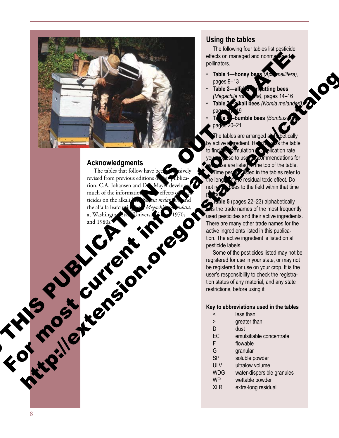

#### **Acknowledgments**

The tables that follow have been  $\sim$  is ively revised from previous editions of his publication. C.A. Johansen and D.S. Mayer developed much of the information of the effects of secticides on the alkali begin the *nia melander*, and the alfalfa leafcutting bee, *Megachile rotundata,* at Washington State University in the 1970s and 1980s. Acknowledgments<br>
The children precise different informations and Developments<br>
The children and Developments<br>
The contract of the strength of the contract of the strength of the strength of the strength of the strength of

#### **Using the tables**

The following four tables list pesticide effects on managed and nonmal aged pollinators.

- **Table 1—honey bees** *(Apis mellifera),* pages 9–13
- Table 2—alfa<sup>l</sup> and atting bees *(Megachile rotundata),* pages 14–16
- **Table 3—alkali bees** *(Nomia melanderi),* pages 17–19
- $\delta$ umble bees *(Bombus* sp.) pages 20–21

tables are arranged a by active ingredient. Read a coss the table  $t$  fundation  $\epsilon$  and  $\epsilon$  find the formulation rate ommendations for are listed at the top of the table. perice **Risted in the tables refer to**  $\epsilon$  residual toxic effect. Do bees to the field within that time period.

**Die 5** (pages 22–23) alphabetically the trade names of the most frequently used pesticides and their active ingredients. There are many other trade names for the active ingredients listed in this publication. The active ingredient is listed on all pesticide labels.

Some of the pesticides listed may not be registered for use in your state, or may not be registered for use on your crop. It is the user's responsibility to check the registration status of any material, and any state restrictions, before using it.

#### **Key to abbreviations used in the tables**

- < less than
- > greater than
- D dust
- EC emulsifiable concentrate
- F flowable
- G granular
- SP soluble powder
- ULV ultralow volume
- WDG water-dispersible granules
- WP wettable powder
- XLR extra-long residual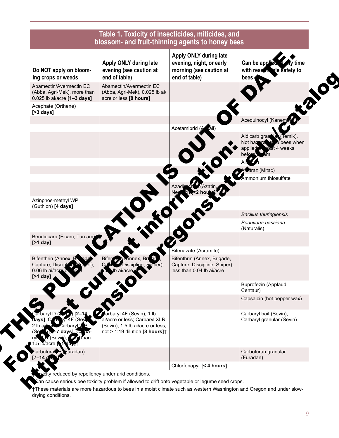| Do NOT apply on bloom-<br>ing crops or weeds                                                                                  | Apply ONLY during late<br>evening (see caution at<br>end of table)                                                                      | Apply ONLY during late<br>evening, night, or early<br>morning (see caution at<br>end of table) | Can be applied<br>ly time<br>with reason<br>ble safety to<br>bees                               |
|-------------------------------------------------------------------------------------------------------------------------------|-----------------------------------------------------------------------------------------------------------------------------------------|------------------------------------------------------------------------------------------------|-------------------------------------------------------------------------------------------------|
| Abamectin/Avermectin EC<br>(Abba, Agri-Mek), more than<br>0.025 lb ai/acre [1-3 days]                                         | Abamectin/Avermectin EC<br>(Abba, Agri-Mek), 0.025 lb ai/<br>acre or less [8 hours]                                                     |                                                                                                |                                                                                                 |
| Acephate (Orthene)<br>$[>3$ days]                                                                                             |                                                                                                                                         |                                                                                                |                                                                                                 |
|                                                                                                                               |                                                                                                                                         | Acetamiprid (Aziail)                                                                           | Acequinocyl (Kanemic                                                                            |
|                                                                                                                               |                                                                                                                                         |                                                                                                | Aldicarb gran<br>Na (Temik).<br>Not hazard is to bees when<br>east 4 weeks<br>applied<br>before |
|                                                                                                                               |                                                                                                                                         |                                                                                                |                                                                                                 |
|                                                                                                                               |                                                                                                                                         |                                                                                                | <b>Atraz</b> (Mitac)                                                                            |
|                                                                                                                               |                                                                                                                                         |                                                                                                | mmonium thiosulfate                                                                             |
|                                                                                                                               |                                                                                                                                         |                                                                                                |                                                                                                 |
| Azinphos-methyl WP<br>(Guthion) [4 days]                                                                                      |                                                                                                                                         |                                                                                                | <b>Bacillus thuringiensis</b>                                                                   |
|                                                                                                                               |                                                                                                                                         |                                                                                                | Beauveria bassiana<br>(Naturalis)                                                               |
| Bendiocarb (Ficam, Turcam)<br>$[$ >1 day]                                                                                     |                                                                                                                                         |                                                                                                |                                                                                                 |
|                                                                                                                               |                                                                                                                                         | Bifenazate (Acramite)                                                                          |                                                                                                 |
| Bifenthrin (Annex, BN<br>ade<br>Capture, Disciplice<br>$0.06$ lb ai/acre $\alpha$<br>[ $>1$ day]                              | <b>Innex, Bri</b> nad<br>Discipline, Solper),<br>ai/acre <b>⊿</b>                                                                       | Bifenthrin (Annex, Brigade,<br>Capture, Discipline, Sniper),<br>less than 0.04 lb ai/acre      |                                                                                                 |
|                                                                                                                               | 610                                                                                                                                     |                                                                                                | Buprofezin (Applaud,<br>Centaur)                                                                |
|                                                                                                                               |                                                                                                                                         |                                                                                                | Capsaicin (hot pepper wax)                                                                      |
| $arbaryl D(S, 1)$ [2-14]<br>(Sev<br>Carbaryl.V<br><del>L</del> 7 days]. Ca pa-<br>(Sevin), <b><i>Mar</i></b> than<br>b/acre N | <b>Carbaryl 4F (Sevin), 1 lb</b><br>ai/acre or less; Carbaryl XLR<br>(Sevin), 1.5 lb ai/acre or less,<br>not > 1:19 dilution [8 hours]+ |                                                                                                | Carbaryl bait (Sevin),<br>Carbaryl granular (Sevin)                                             |
| arbofura <b>CE</b> Furadan)                                                                                                   |                                                                                                                                         |                                                                                                | Carbofuran granular<br>(Furadan)                                                                |
|                                                                                                                               |                                                                                                                                         | Chlorfenapyr [< 4 hours]                                                                       |                                                                                                 |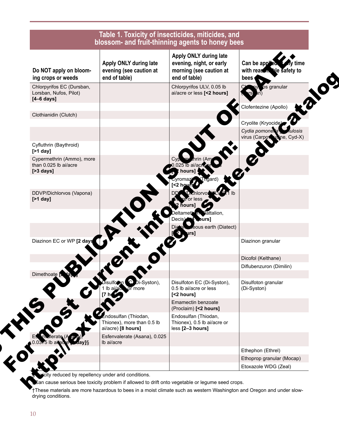| Do NOT apply on bloom-<br>ing crops or weeds                                | Apply ONLY during late<br>evening (see caution at<br>end of table)     | Apply ONLY during late<br>evening, night, or early<br>morning (see caution at<br>end of table) | Can be applea<br>time<br>with reason ble safety to<br>bees                        |
|-----------------------------------------------------------------------------|------------------------------------------------------------------------|------------------------------------------------------------------------------------------------|-----------------------------------------------------------------------------------|
| Chlorpyrifos EC (Dursban,<br>Lorsban, Nufos, Pilot)<br>$[4-6 \text{ days}]$ |                                                                        | Chlorpyrifos ULV, 0.05 lb<br>ai/acre or less [<2 hours]                                        | ós granular                                                                       |
| Clothianidin (Clutch)                                                       |                                                                        |                                                                                                | Clofentezine (Apollo)                                                             |
|                                                                             |                                                                        |                                                                                                | Cryolite (Kryocide)<br>Cydia pomonella<br>ulosis<br>virus (Carpox<br>Sine, Cyd-X) |
| Cyfluthrin (Baythroid)<br>$[$ >1 day]                                       |                                                                        |                                                                                                |                                                                                   |
| Cypermethrin (Ammo), more<br>than 0.025 lb ai/acre<br>$[>3$ days]           |                                                                        |                                                                                                |                                                                                   |
|                                                                             |                                                                        | Thoard                                                                                         |                                                                                   |
| DDVP/Dichlorvos (Vapona)<br>$[$ >1 day]                                     |                                                                        |                                                                                                |                                                                                   |
|                                                                             |                                                                        | <b>Pattalion</b> ,<br>burs]                                                                    |                                                                                   |
|                                                                             |                                                                        | eous earth (Diatect)<br>ırs]                                                                   |                                                                                   |
| Diazinon EC or WP [2 days                                                   |                                                                        |                                                                                                | Diazinon granular                                                                 |
|                                                                             |                                                                        |                                                                                                | Dicofol (Kelthane)                                                                |
| Dimethoate $\sim$ lay                                                       |                                                                        |                                                                                                | Diflubenzuron (Dimilin)                                                           |
|                                                                             | C Di-Syston),<br>more                                                  | Disulfoton EC (Di-Syston),<br>0.5 lb ai/acre or less<br>[<2 hours]                             | Disulfoton granular<br>(Di-Syston)                                                |
|                                                                             |                                                                        | Emamectin benzoate<br>(Proclaim) [<2 hours]                                                    |                                                                                   |
|                                                                             | dosulfan (Thiodan,<br>Thionex), more than 0.5 lb<br>ai/acre) [8 hours] | Endosulfan (Thiodan,<br>Thionex), 0.5 lb ai/acre or<br>less [2-3 hours]                        |                                                                                   |
| erate (<br>0.0375 lb airao                                                  | Esfenvalerate (Asana), 0.025<br>Ib ai/acre                             |                                                                                                |                                                                                   |
|                                                                             |                                                                        |                                                                                                | Ethephon (Ethrel)                                                                 |
|                                                                             |                                                                        |                                                                                                | Ethoprop granular (Mocap)<br>Etoxazole WDG (Zeal)                                 |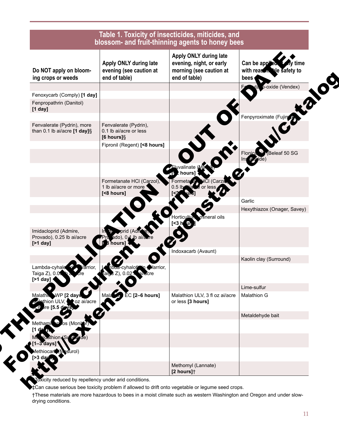| Do NOT apply on bloom-<br>ing crops or weeds                                 | Apply ONLY during late<br>evening (see caution at<br>end of table) | Apply ONLY during late<br>evening, night, or early<br>morning (see caution at<br>end of table) | Can be applea<br>ly time<br>with reason ble safety to<br>bees |
|------------------------------------------------------------------------------|--------------------------------------------------------------------|------------------------------------------------------------------------------------------------|---------------------------------------------------------------|
|                                                                              |                                                                    |                                                                                                | p-oxide (Vendex)                                              |
| Fenoxycarb (Comply) [1 day]                                                  |                                                                    |                                                                                                |                                                               |
| Fenpropathrin (Danitol)<br>$[1$ day]                                         |                                                                    |                                                                                                |                                                               |
|                                                                              |                                                                    |                                                                                                | Fenpyroximate (Fujim                                          |
| Fenvalerate (Pydrin), more<br>than 0.1 lb ai/acre $[1 day]\$                 | Fenvalerate (Pydrin),<br>0.1 lb ai/acre or less<br>$[6$ hours] $§$ |                                                                                                |                                                               |
|                                                                              | Fipronil (Regent) [<8 hours]                                       |                                                                                                |                                                               |
|                                                                              |                                                                    |                                                                                                | Beleaf 50 SG<br>Flonica                                       |
|                                                                              |                                                                    | Eluvalinate (<br>t hours]                                                                      |                                                               |
|                                                                              | Formetanate HCI (Carzol),<br>1 lb ai/acre or more '<br>[<8 hours]  | <b>dCI</b> (Carz<br>Formetar <i>a</i> s<br>or k                                                |                                                               |
|                                                                              |                                                                    |                                                                                                | Garlic                                                        |
|                                                                              |                                                                    |                                                                                                | Hexythiazox (Onager, Savey)                                   |
|                                                                              |                                                                    | mineral oils<br>Horticultur<br>$S3h$ and                                                       |                                                               |
| Imidacloprid (Admire,<br>Provado), 0.25 lb ai/acre<br>[ $>1$ day]            | ado), 0.1 lb ai/a<br><b>B</b> hours]                               |                                                                                                |                                                               |
|                                                                              |                                                                    | Indoxacarb (Avaunt)                                                                            |                                                               |
|                                                                              |                                                                    |                                                                                                | Kaolin clay (Surround)                                        |
| Lambda-cyhalc<br>'arrior.<br>Taiga Z), 0.0<br>[ $>1$ day]                    | Varrior,<br>\¤a-c∨halot<br>ai§a ∠), ∪.∪ <u>∠</u> n<br>uvacre       |                                                                                                |                                                               |
|                                                                              |                                                                    |                                                                                                | Lime-sulfur                                                   |
| WP [2 days<br>Malath<br>ethion ULV<br>oz ai/acre<br>$r$ e [5.5 de $\sqrt{s}$ | $\bullet$ EC [2–6 hours]<br>Mala                                   | Malathion ULV, 3 fl oz ai/acre<br>or less [3 hours]                                            | Malathion G                                                   |
|                                                                              |                                                                    |                                                                                                | Metaldehyde bait                                              |
| (Moni<br>lethami                                                             |                                                                    |                                                                                                |                                                               |
| oathion ∕ Su                                                                 |                                                                    |                                                                                                |                                                               |
| (Mesurol)<br>hıocarl                                                         |                                                                    |                                                                                                |                                                               |
|                                                                              |                                                                    | Methomyl (Lannate)<br>[2 hours] <sup>+</sup>                                                   |                                                               |

‡Can cause serious bee toxicity problem if allowed to drift onto vegetable or legume seed crops.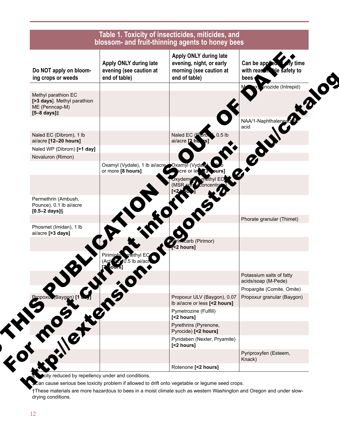

reduced by repellency under arid conditions.

an cause serious bee toxicity problem if allowed to drift onto vegetable or legume seed crops.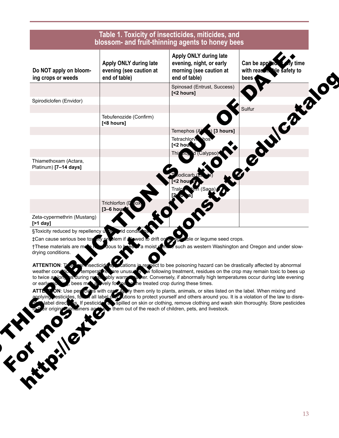| Do NOT apply on bloom-<br>ing crops or weeds                                    | Apply ONLY during late<br>evening (see caution at<br>end of table)                              | Apply ONLY during late<br>evening, night, or early<br>morning (see caution at<br>end of table) | Can be appleto<br>ny time<br>with reason ble safety to<br>bees |
|---------------------------------------------------------------------------------|-------------------------------------------------------------------------------------------------|------------------------------------------------------------------------------------------------|----------------------------------------------------------------|
|                                                                                 |                                                                                                 | Spinosad (Entrust, Success)<br>[<2 hours]                                                      |                                                                |
| Spirodiclofen (Envidor)                                                         |                                                                                                 |                                                                                                |                                                                |
|                                                                                 | Tebufenozide (Confirm)<br>[<8 hours]                                                            |                                                                                                | edulcator                                                      |
|                                                                                 |                                                                                                 | $\left( \begin{array}{c} \bullet \\ \bullet \end{array} \right)$ [3 hours]<br>Temephos (A      |                                                                |
|                                                                                 |                                                                                                 | Tetrachlory hos<br>$[2$ hour                                                                   |                                                                |
|                                                                                 |                                                                                                 | d (Calypso)<br>Thia                                                                            |                                                                |
| Thiamethoxam (Actara,<br>Platinum) [7-14 days]                                  |                                                                                                 |                                                                                                |                                                                |
|                                                                                 |                                                                                                 | <2 houเ                                                                                        |                                                                |
|                                                                                 |                                                                                                 | m (Saga)                                                                                       |                                                                |
|                                                                                 | Trichlorfon (D lox)                                                                             |                                                                                                |                                                                |
| Zeta-cypermethrin (Mustang)<br>[ $>1$ day]                                      | [3-6 hour                                                                                       |                                                                                                |                                                                |
| SToxicity reduced by repellency units wid conditions<br>†These materials are me | tCan cause serious bee tox ary prodlem if allowed to drift on<br>dous to<br>'a moist <b>≤ m</b> | ble or legume seed crops.                                                                      | such as western Washington and Oregon and under slow-          |

o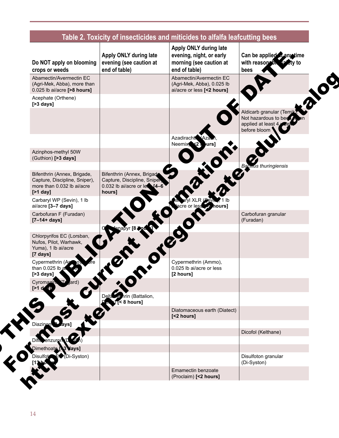| Do NOT apply on blooming<br>crops or weeds                                                                | Apply ONLY during late<br>evening (see caution at<br>end of table)                                         | Apply ONLY during late<br>evening, night, or early<br>morning (see caution at<br>end of table) | Can be applied any time<br>with reason by<br>etv to<br>bees                            |
|-----------------------------------------------------------------------------------------------------------|------------------------------------------------------------------------------------------------------------|------------------------------------------------------------------------------------------------|----------------------------------------------------------------------------------------|
| Abamectin/Avermectin EC<br>(Agri-Mek, Abba), more than<br>0.025 lb ai/acre [>8 hours]                     |                                                                                                            | Abamectin/Avermectin EC<br>(Agri-Mek, Abba), 0.025 lb<br>ai/acre or less [<2 hours]            |                                                                                        |
| Acephate (Orthene)<br>$[>3$ days]                                                                         |                                                                                                            |                                                                                                |                                                                                        |
|                                                                                                           |                                                                                                            |                                                                                                | Aldicarb granular (Temik<br>Not hazardous to bee<br>applied at least 4<br>before bloom |
|                                                                                                           |                                                                                                            | Azadiracht Aza<br>Neemix<br>urs1                                                               |                                                                                        |
| Azinphos-methyl 50W<br>(Guthion) [>3 days]                                                                |                                                                                                            |                                                                                                |                                                                                        |
|                                                                                                           |                                                                                                            |                                                                                                | <b>Bacmus thuringiensis</b>                                                            |
| Bifenthrin (Annex, Brigade,<br>Capture, Discipline, Sniper),<br>more than 0.032 lb ai/acre<br>$[$ >1 day] | Bifenthrin (Annex, Brigado<br>Capture, Discipline, Sniper,<br>$0.032$ lb ai/acre or less $[4-6]$<br>hours] |                                                                                                |                                                                                        |
| Carbaryl WP (Sevin), 1 lb<br>ai/acre [3-7 days]                                                           |                                                                                                            | acre or less<br>ours]                                                                          |                                                                                        |
| Carbofuran F (Furadan)<br>$[7 - 14 + days]$                                                               |                                                                                                            |                                                                                                | Carbofuran granular<br>(Furadan)                                                       |
|                                                                                                           | mapyr [8 Mod                                                                                               |                                                                                                |                                                                                        |
| Chlorpyrifos EC (Lorsban,<br>Nufos, Pilot, Warhawk,<br>Yuma), 1 lb ai/acre<br>[7 days]                    |                                                                                                            |                                                                                                |                                                                                        |
| Cypermethrin (Ap<br>than 0.025 lb a<br>$[$ >3 days $]$                                                    |                                                                                                            | Cypermethrin (Ammo),<br>0.025 lb ai/acre or less<br>[2 hours]                                  |                                                                                        |
| Cyromazir<br>ard)<br>[21]                                                                                 |                                                                                                            |                                                                                                |                                                                                        |
|                                                                                                           | Delta <sub>re</sub><br>hrin (Battalion,<br>8 hours]                                                        |                                                                                                |                                                                                        |
|                                                                                                           |                                                                                                            | Diatomaceous earth (Diatect)<br>[<2 hours]                                                     |                                                                                        |
| Diazinen Days]                                                                                            |                                                                                                            |                                                                                                |                                                                                        |
|                                                                                                           |                                                                                                            |                                                                                                | Dicofol (Kelthane)                                                                     |
| )imethoate.                                                                                               |                                                                                                            |                                                                                                |                                                                                        |
| Di-Syston)<br>Disulfot                                                                                    |                                                                                                            |                                                                                                | Disulfoton granular<br>(Di-Syston)                                                     |
|                                                                                                           |                                                                                                            | Emamectin benzoate<br>(Proclaim) [<2 hours]                                                    |                                                                                        |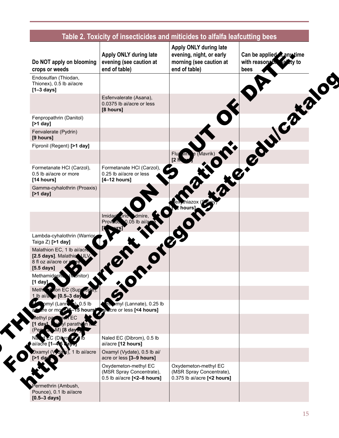| Do NOT apply on blooming<br>crops or weeds                                                           | Apply ONLY during late<br>evening (see caution at<br>end of table)              | Apply ONLY during late<br>evening, night, or early<br>morning (see caution at<br>end of table) | Can be applied Canytime<br>with reasonable<br>bees |
|------------------------------------------------------------------------------------------------------|---------------------------------------------------------------------------------|------------------------------------------------------------------------------------------------|----------------------------------------------------|
| Endosulfan (Thiodan,<br>Thionex), 0.5 lb ai/acre<br>$[1-3 \text{ days}]$                             |                                                                                 |                                                                                                |                                                    |
|                                                                                                      | Esfenvalerate (Asana),<br>0.0375 lb ai/acre or less<br>[8 hours]                |                                                                                                |                                                    |
| Fenpropathrin (Danitol)<br>$[$ >1 day]                                                               |                                                                                 |                                                                                                | $\boldsymbol{c}^{\boldsymbol{\ell}}$               |
| Fenvalerate (Pydrin)<br>[9 hours]                                                                    |                                                                                 |                                                                                                |                                                    |
| Fipronil (Regent) [>1 day]                                                                           |                                                                                 | Flu<br>dlin                                                                                    |                                                    |
| Formetanate HCI (Carzol),<br>0.5 lb ai/acre or more<br>[14 hours]                                    | Formetanate HCI (Carzol),<br>0.25 lb ai/acre or less<br>$[4-12$ hours]          | <b>S. R. R. R. R. R.</b><br>$\overline{2}$                                                     |                                                    |
| Gamma-cyhalothrin (Proaxis)<br>$[$ >1 day]                                                           |                                                                                 |                                                                                                |                                                    |
|                                                                                                      |                                                                                 |                                                                                                |                                                    |
|                                                                                                      | dmire<br>Imidac <sup>t</sup> orid<br>0.05 lb ai<br>Provadi                      |                                                                                                |                                                    |
| Lambda-cyhalothrin (Warrior<br>Taiga Z) [>1 day]                                                     |                                                                                 |                                                                                                |                                                    |
| Malathion EC, 1 lb ai/acre<br>[2.5 days]. Malathic ULV<br>8 fl oz ai/acre or<br>$[5.5 \text{ days}]$ |                                                                                 |                                                                                                |                                                    |
| Methamidoph<br>(Monitor)<br>$[1$ day $]$                                                             |                                                                                 |                                                                                                |                                                    |
| Meth<br>non EC (Supraci<br>: [0.5–3 da\<br>1 lb ai/a                                                 |                                                                                 |                                                                                                |                                                    |
| $0.5$ lb<br>(Lann<br>-15 hours <sup>1</sup><br>or mo $\epsilon$                                      | myl (Lannate), 0.25 lb<br>alvacre or less [<4 hours]                            |                                                                                                |                                                    |
| parathi<br>⊺8 dav                                                                                    |                                                                                 |                                                                                                |                                                    |
| (Dihro<br>/acre I1∙                                                                                  | Naled EC (Dibrom), 0.5 lb<br>ai/acre [12 hours]                                 |                                                                                                |                                                    |
| 1 lb ai/acre<br>amyl (Voda<br>>1 dav                                                                 | Oxamyl (Vydate), 0.5 lb ai/<br>acre or less [3-9 hours]                         |                                                                                                |                                                    |
|                                                                                                      | Oxydemeton-methyl EC<br>(MSR Spray Concentrate),<br>0.5 lb ai/acre [<2-8 hours] | Oxydemeton-methyl EC<br>(MSR Spray Concentrate),<br>0.375 lb ai/acre [<2 hours]                |                                                    |
| ermethrin (Ambush,<br>Pounce), 0.1 lb ai/acre<br>$[0.5 - 3 \text{ days}]$                            |                                                                                 |                                                                                                |                                                    |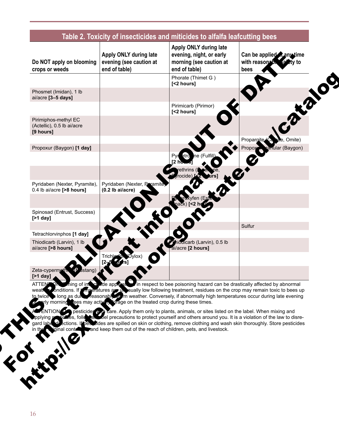| Do NOT apply on blooming<br>crops or weeds                      | Apply ONLY during late<br>evening (see caution at<br>end of table)                                                                             | Apply ONLY during late<br>evening, night, or early<br>morning (see caution at<br>end of table)                                                                                                                                                                                                                                                                                                                                                                                                                                                                                                                                                                                                             | Can be applied A any time<br>with reason <sup>2</sup> b<br>itv to<br>bees |
|-----------------------------------------------------------------|------------------------------------------------------------------------------------------------------------------------------------------------|------------------------------------------------------------------------------------------------------------------------------------------------------------------------------------------------------------------------------------------------------------------------------------------------------------------------------------------------------------------------------------------------------------------------------------------------------------------------------------------------------------------------------------------------------------------------------------------------------------------------------------------------------------------------------------------------------------|---------------------------------------------------------------------------|
|                                                                 |                                                                                                                                                | Phorate (Thimet G)<br>[<2 hours]                                                                                                                                                                                                                                                                                                                                                                                                                                                                                                                                                                                                                                                                           |                                                                           |
| Phosmet (Imidan), 1 lb<br>ai/acre [3-5 days]                    |                                                                                                                                                |                                                                                                                                                                                                                                                                                                                                                                                                                                                                                                                                                                                                                                                                                                            |                                                                           |
|                                                                 |                                                                                                                                                | Pirimicarb (Pirimor)<br>[<2 hours]                                                                                                                                                                                                                                                                                                                                                                                                                                                                                                                                                                                                                                                                         |                                                                           |
| Pirimiphos-methyl EC<br>(Actellic), 0.5 lb ai/acre<br>[9 hours] |                                                                                                                                                |                                                                                                                                                                                                                                                                                                                                                                                                                                                                                                                                                                                                                                                                                                            |                                                                           |
| Propoxur (Baygon) [1 day]                                       |                                                                                                                                                |                                                                                                                                                                                                                                                                                                                                                                                                                                                                                                                                                                                                                                                                                                            | Omite)<br>Propargite<br>Propox<br>mular (Baygon)                          |
|                                                                 |                                                                                                                                                | ne (Fulfil<br>etro                                                                                                                                                                                                                                                                                                                                                                                                                                                                                                                                                                                                                                                                                         |                                                                           |
|                                                                 |                                                                                                                                                |                                                                                                                                                                                                                                                                                                                                                                                                                                                                                                                                                                                                                                                                                                            |                                                                           |
| Pyridaben (Nexter, Pyramite),<br>0.4 lb ai/acre [>8 hours]      | Pyridaben (Nexter, Pyramite<br>$(0.2$ lb ai/acre)                                                                                              |                                                                                                                                                                                                                                                                                                                                                                                                                                                                                                                                                                                                                                                                                                            |                                                                           |
| Spinosad (Entrust, Success)<br>$[$ >1 day]                      |                                                                                                                                                |                                                                                                                                                                                                                                                                                                                                                                                                                                                                                                                                                                                                                                                                                                            |                                                                           |
| Tetrachlorvinphos [1 day]                                       |                                                                                                                                                |                                                                                                                                                                                                                                                                                                                                                                                                                                                                                                                                                                                                                                                                                                            | Sulfur                                                                    |
| Thiodicarb (Larvin), 1 lb<br>ai/acre [>8 hours]                 |                                                                                                                                                | iodicarb (Larvin), 0.5 lb<br>ai/acre [2 hours]                                                                                                                                                                                                                                                                                                                                                                                                                                                                                                                                                                                                                                                             |                                                                           |
|                                                                 |                                                                                                                                                |                                                                                                                                                                                                                                                                                                                                                                                                                                                                                                                                                                                                                                                                                                            |                                                                           |
| Zeta-cypermeth.<br>Istanq<br>$[$ >1 day]                        |                                                                                                                                                |                                                                                                                                                                                                                                                                                                                                                                                                                                                                                                                                                                                                                                                                                                            |                                                                           |
| <b>ATTEN</b><br>gard labe di<br>ainal conta <b>.</b><br>FOREFR  | rly morning ees may activen, brage on the treated crop during these times.<br>and keep them out of the reach of children, pets, and livestock. | ning of insectional expression in respect to bee poisoning hazard can be drastically affected by abnormal<br>weath and ditions. If the ratures are the sually low following treatment, residues on the crop may remain toxic to bees up<br>to twice and as duration of the seasonably of m weather. Conversely, if abnormally high temperature<br>ENTION CO pesticides y a care. Apply them only to plants, animals, or sites listed on the label. When mixing and<br>idency, follower and following to protect yourself and others around you. It is a violation of the law to disre-<br>ections. If beseited are spilled on skin or clothing, remove clothing and wash skin thoroughly. Store pesticides |                                                                           |

ALTENTION:  $\bullet$  pesticides with care. Apply them only to plants, animals, or sites listed on the label. When mixing and applying providers, follow all solel precautions to protect yourself and others around you. It is a violation of the law to disregard label directions. If pesticides are spilled on skin or clothing, remove clothing and wash skin thoroughly. Store pesticides Find the containers is to protect yourself and others around you.<br>
in the containers and keep them out of the reach of children, pets, and livestock. We are the transit of the street of the street of the street of the street of the street of the street of the street of the street of the street of the street of the street of the street of the street of the street of the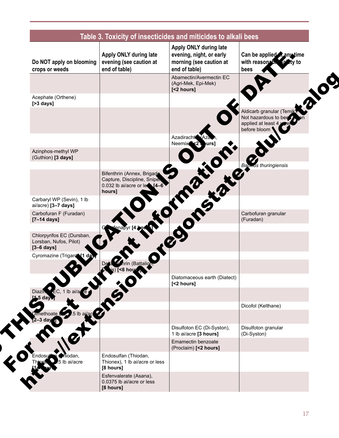| Do NOT apply on blooming<br>crops or weeds                                  | Apply ONLY during late<br>evening (see caution at<br>end of table)                                      | Apply ONLY during late<br>evening, night, or early<br>morning (see caution at<br>end of table) | Can be applied A any time<br>with reason <sup>2</sup> b.<br>ztv to<br>bees             |
|-----------------------------------------------------------------------------|---------------------------------------------------------------------------------------------------------|------------------------------------------------------------------------------------------------|----------------------------------------------------------------------------------------|
|                                                                             |                                                                                                         | Abamectin/Avermectin EC<br>(Agri-Mek, Epi-Mek)<br>[<2 hours]                                   |                                                                                        |
| Acephate (Orthene)<br>$[>3$ days]                                           |                                                                                                         |                                                                                                |                                                                                        |
|                                                                             |                                                                                                         |                                                                                                | Aldicarb granular (Temik<br>Not hazardous to bee<br>applied at least 4<br>before bloom |
|                                                                             |                                                                                                         | Azadiracht<br>Neemix)<br>urs]                                                                  |                                                                                        |
| Azinphos-methyl WP<br>(Guthion) [3 days]                                    |                                                                                                         |                                                                                                |                                                                                        |
|                                                                             | Bifenthrin (Annex, Brigade<br>Capture, Discipline, Sniper<br>0.032 lb ai/acre or $le$ $[4-6]$<br>hours] | <b>PROPERTY OF</b>                                                                             | <b>Bachus</b> thuringiensis                                                            |
| Carbaryl WP (Sevin), 1 lb<br>ai/acre) [3-7 days]                            |                                                                                                         |                                                                                                |                                                                                        |
| Carbofuran F (Furadan)<br>$[7-14 \text{ days}]$                             | napyr <b>[4 bot</b>                                                                                     |                                                                                                | Carbofuran granular<br>(Furadan)                                                       |
| Chlorpyrifos EC (Dursban,<br>Lorsban, Nufos, Pilot)<br>$[3-6 \text{ days}]$ |                                                                                                         |                                                                                                |                                                                                        |
| Cyromazine (Trigard <sup>3</sup> 11 day                                     | า (Battaliง                                                                                             |                                                                                                |                                                                                        |
|                                                                             | $\ddot{\circ}^\circ$                                                                                    | Diatomaceous earth (Diatect)<br>[<2 hours]                                                     |                                                                                        |
| ÉC, 1 lb ai/a e<br>Diazin<br>day                                            |                                                                                                         |                                                                                                |                                                                                        |
| 5 lb ailed<br><b>Imethoate</b>                                              |                                                                                                         |                                                                                                | Dicofol (Kelthane)                                                                     |
|                                                                             |                                                                                                         | Disulfoton EC (Di-Syston),                                                                     | Disulfoton granular                                                                    |
|                                                                             |                                                                                                         | 1 lb ai/acre [3 hours]<br>Emamectin benzoate                                                   | (Di-Syston)                                                                            |
|                                                                             |                                                                                                         | (Proclaim) [<2 hours]                                                                          |                                                                                        |
| Miodan,<br>Endosulari<br>5 lb ai/acre                                       | Endosulfan (Thiodan,<br>Thionex), 1 lb ai/acre or less<br>[8 hours]                                     |                                                                                                |                                                                                        |
|                                                                             | Esfenvalerate (Asana),<br>0.0375 lb ai/acre or less<br>[8 hours]                                        |                                                                                                |                                                                                        |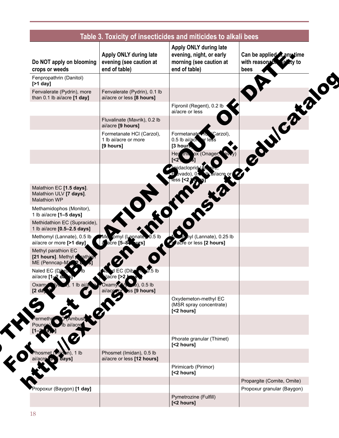| Do NOT apply on blooming<br>crops or weeds                                 | Apply ONLY during late<br>evening (see caution at<br>end of table) | Apply ONLY during late<br>evening, night, or early<br>morning (see caution at<br>end of table) | Can be applied Canytime<br>with reasonable<br>tv to<br>bees |
|----------------------------------------------------------------------------|--------------------------------------------------------------------|------------------------------------------------------------------------------------------------|-------------------------------------------------------------|
| Fenpropathrin (Danitol)<br>[ $>1$ day]                                     |                                                                    |                                                                                                |                                                             |
| Fenvalerate (Pydrin), more<br>than 0.1 lb ai/acre [1 day]                  | Fenvalerate (Pydrin), 0.1 lb<br>ai/acre or less [8 hours]          |                                                                                                |                                                             |
|                                                                            |                                                                    | Fipronil (Regent), 0.2 lb<br>ai/acre or less                                                   |                                                             |
|                                                                            | Fluvalinate (Mavrik), 0.2 lb<br>ai/acre [9 hours]                  |                                                                                                | $\boldsymbol{c}^{\boldsymbol{\ell}}$                        |
|                                                                            | Formetanate HCI (Carzol),<br>1 lb ai/acre or more<br>[9 hours]     | Formetanate 10<br>Carzol),<br>0.5 lb ai/ach<br>r less<br>[3 hours                              |                                                             |
|                                                                            |                                                                    | this ox (Onager,<br>Hex                                                                        | ed                                                          |
|                                                                            |                                                                    | acloprid.<br>ai/acre or                                                                        |                                                             |
| Malathion EC [1.5 days].<br>Malathion ULV [7 days].<br><b>Malathion WP</b> |                                                                    |                                                                                                |                                                             |
| Methamidophos (Monitor),<br>1 lb ai/acre [1-5 days]                        |                                                                    |                                                                                                |                                                             |
| Methidathion EC (Supracide),<br>1 lb ai/acre [0.5-2.5 days]                |                                                                    |                                                                                                |                                                             |
| Methomyl (Lannate), 0.5 lb<br>ai/acre or more [>1 day]                     | omyl (Lannate, 0.5 lb<br>acre [5-8 surs]                           | hyl (Lannate), 0.25 lb<br>a acre or less [2 hours]                                             |                                                             |
| Methyl parathion EC<br>[21 hours]. Methyl prathion<br>ME (Penncap-M)       |                                                                    |                                                                                                |                                                             |
| Naled EC (Dihro,<br>ai/acre [1-2 da                                        | EC (Dibron,<br>$0.5$ lb<br>acre <b>[&gt;2 b</b>                    |                                                                                                |                                                             |
| Oxamy<br>1 lb ai/ $a$<br>[2 <sub>d</sub> ]                                 | $(e)$ , 0.5 lb<br>Oxamvr.<br>ai/acroom<br>ss [9 hours]             |                                                                                                |                                                             |
|                                                                            |                                                                    | Oxydemeton-methyl EC<br>(MSR spray concentrate)<br>[<2 hours]                                  |                                                             |
| Ambush<br>b ai/acre                                                        |                                                                    |                                                                                                |                                                             |
|                                                                            |                                                                    | Phorate granular (Thimet)<br>[<2 hours]                                                        |                                                             |
| hosmet (midun), 1 lb<br>days]<br>ai/acress                                 | Phosmet (Imidan), 0.5 lb<br>ai/acre or less [12 hours]             |                                                                                                |                                                             |
|                                                                            |                                                                    | Pirimicarb (Pirimor)<br>[<2 hours]                                                             |                                                             |
|                                                                            |                                                                    |                                                                                                | Propargite (Comite, Omite)                                  |
| Propoxur (Baygon) [1 day]                                                  |                                                                    |                                                                                                | Propoxur granular (Baygon)                                  |
|                                                                            |                                                                    | Pymetrozine (Fulfill)<br>[<2 hours]                                                            |                                                             |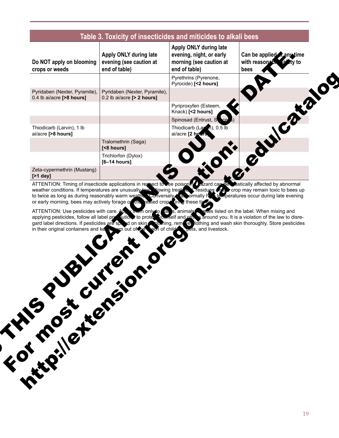| Pyrethrins (Pyrenone,<br>Pyrocide) [<2 hours]<br>Pyridaben (Nexter, Pyramite),<br>Pyridaben (Nexter, Pyramite),<br>0.4 lb ai/acre [>8 hours]<br>0.2 lb ai/acre [> 2 hours]<br>Pyriproxyfen (Esteem,<br>Knack) [<2 hours]<br>Spinosad (Entrust, S<br>Thiodicarb (Larm), 0.5 lb<br>Thiodicarb (Larvin), 1 lb<br>ai/acre [>8 hours]<br>ai/acre [2 hours<br>Tralomethrin (Saga)<br>[<8 hours]<br>Trichlorfon (Dylox)<br>$[6-14 hours]$<br>Zeta-cypermethrin (Mustang)<br>$[$ >1 day]<br>ATTENTION: Timing of insecticide applications in respect to be poisoning the zard car be eastically affected by abnormal weather conditions. If temperatures are unusually law lowing treating the residues of a crop may rema<br>to twice as long as during reasonably warm weath. Conversely, a pormally her temperatures occur during late evening<br>or early morning, bees may actively forage or the reated crope tring these time<br>ATTENTION: Use pesticides with care. Ab, which only to a s, animals stres listed on the label. When mixing and<br>applying pesticides, follow all label provided by to protect conself and other a around you. It is a violation of the law to disre-<br>gard label directions. If pesticides are spend on skin sidening, rem @ lothing and wash skin thoroughly. Store pesticides<br>ach of childs bets, and livestock.<br>in their original containers and ke<br>em out of <i>the</i><br>J. Cr<br>TFOT MOST CUT<br>Initially retained | Do NOT apply on blooming<br>crops or weeds | Apply ONLY during late<br>evening (see caution at<br>end of table) | Apply ONLY during late<br>evening, night, or early<br>morning (see caution at<br>end of table) | Can be applied Canytime<br>with reasonable<br>bees |
|-------------------------------------------------------------------------------------------------------------------------------------------------------------------------------------------------------------------------------------------------------------------------------------------------------------------------------------------------------------------------------------------------------------------------------------------------------------------------------------------------------------------------------------------------------------------------------------------------------------------------------------------------------------------------------------------------------------------------------------------------------------------------------------------------------------------------------------------------------------------------------------------------------------------------------------------------------------------------------------------------------------------------------------------------------------------------------------------------------------------------------------------------------------------------------------------------------------------------------------------------------------------------------------------------------------------------------------------------------------------------------------------------------------------------------------------------------------------------|--------------------------------------------|--------------------------------------------------------------------|------------------------------------------------------------------------------------------------|----------------------------------------------------|
|                                                                                                                                                                                                                                                                                                                                                                                                                                                                                                                                                                                                                                                                                                                                                                                                                                                                                                                                                                                                                                                                                                                                                                                                                                                                                                                                                                                                                                                                         |                                            |                                                                    |                                                                                                |                                                    |
|                                                                                                                                                                                                                                                                                                                                                                                                                                                                                                                                                                                                                                                                                                                                                                                                                                                                                                                                                                                                                                                                                                                                                                                                                                                                                                                                                                                                                                                                         |                                            |                                                                    |                                                                                                |                                                    |
|                                                                                                                                                                                                                                                                                                                                                                                                                                                                                                                                                                                                                                                                                                                                                                                                                                                                                                                                                                                                                                                                                                                                                                                                                                                                                                                                                                                                                                                                         |                                            |                                                                    |                                                                                                |                                                    |
|                                                                                                                                                                                                                                                                                                                                                                                                                                                                                                                                                                                                                                                                                                                                                                                                                                                                                                                                                                                                                                                                                                                                                                                                                                                                                                                                                                                                                                                                         |                                            |                                                                    |                                                                                                |                                                    |
|                                                                                                                                                                                                                                                                                                                                                                                                                                                                                                                                                                                                                                                                                                                                                                                                                                                                                                                                                                                                                                                                                                                                                                                                                                                                                                                                                                                                                                                                         |                                            |                                                                    |                                                                                                |                                                    |
|                                                                                                                                                                                                                                                                                                                                                                                                                                                                                                                                                                                                                                                                                                                                                                                                                                                                                                                                                                                                                                                                                                                                                                                                                                                                                                                                                                                                                                                                         |                                            |                                                                    |                                                                                                |                                                    |
|                                                                                                                                                                                                                                                                                                                                                                                                                                                                                                                                                                                                                                                                                                                                                                                                                                                                                                                                                                                                                                                                                                                                                                                                                                                                                                                                                                                                                                                                         |                                            |                                                                    |                                                                                                |                                                    |
|                                                                                                                                                                                                                                                                                                                                                                                                                                                                                                                                                                                                                                                                                                                                                                                                                                                                                                                                                                                                                                                                                                                                                                                                                                                                                                                                                                                                                                                                         |                                            |                                                                    |                                                                                                |                                                    |
|                                                                                                                                                                                                                                                                                                                                                                                                                                                                                                                                                                                                                                                                                                                                                                                                                                                                                                                                                                                                                                                                                                                                                                                                                                                                                                                                                                                                                                                                         |                                            |                                                                    |                                                                                                |                                                    |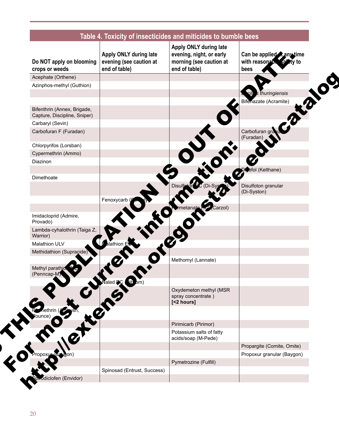| Do NOT apply on blooming<br>crops or weeds                  | Apply ONLY during late<br>evening (see caution at<br>end of table) | Apply ONLY during late<br>evening, night, or early<br>morning (see caution at<br>end of table) | Can be applied Canytime<br>with reasonable<br>a≝tv to<br>bees |
|-------------------------------------------------------------|--------------------------------------------------------------------|------------------------------------------------------------------------------------------------|---------------------------------------------------------------|
| Acephate (Orthene)                                          |                                                                    |                                                                                                |                                                               |
| Azinphos-methyl (Guthion)                                   |                                                                    |                                                                                                |                                                               |
|                                                             |                                                                    |                                                                                                | s thuringiensis                                               |
|                                                             |                                                                    |                                                                                                | Bifenazate (Acramite)                                         |
| Bifenthrin (Annex, Brigade,<br>Capture, Discipline, Sniper) |                                                                    |                                                                                                |                                                               |
| Carbaryl (Sevin)                                            |                                                                    |                                                                                                |                                                               |
| Carbofuran F (Furadan)                                      |                                                                    |                                                                                                | Carbofuran gra<br>(Furadan)                                   |
| Chlorpyrifos (Lorsban)                                      |                                                                    |                                                                                                |                                                               |
| Cypermethrin (Ammo)                                         |                                                                    |                                                                                                |                                                               |
| Diazinon                                                    |                                                                    |                                                                                                |                                                               |
|                                                             |                                                                    |                                                                                                | Diofol (Kelthane)                                             |
| Dimethoate                                                  |                                                                    |                                                                                                |                                                               |
|                                                             |                                                                    |                                                                                                | Disulfoton granular<br>(Di-Syston)                            |
|                                                             | Fenoxycarb (                                                       |                                                                                                |                                                               |
|                                                             |                                                                    | Carzol)<br>rmetanat                                                                            |                                                               |
| Imidacloprid (Admire,<br>Provado)                           |                                                                    |                                                                                                |                                                               |
| Lambda-cyhalothrin (Taiga Z,<br>Warrior)                    |                                                                    |                                                                                                |                                                               |
| <b>Malathion ULV</b>                                        | athion E                                                           |                                                                                                |                                                               |
| Methidathion (Supracide)                                    |                                                                    |                                                                                                |                                                               |
|                                                             |                                                                    | Methomyl (Lannate)                                                                             |                                                               |
| Methyl parathic<br>(Penncap-M)                              |                                                                    |                                                                                                |                                                               |
|                                                             | $\overline{\text{ub}}$ $\text{om}$<br>aled <b>DC</b>               |                                                                                                |                                                               |
|                                                             |                                                                    | Oxydemeton methyl (MSR<br>spray concentrate)<br>[<2 hours]                                     |                                                               |
|                                                             |                                                                    |                                                                                                |                                                               |
|                                                             |                                                                    | Pirimicarb (Pirimor)                                                                           |                                                               |
|                                                             |                                                                    | Potassium salts of fatty                                                                       |                                                               |
|                                                             |                                                                    | acids/soap (M-Pede)                                                                            |                                                               |
|                                                             |                                                                    |                                                                                                | Propargite (Comite, Omite)                                    |
|                                                             |                                                                    |                                                                                                | Propoxur granular (Baygon)                                    |
|                                                             |                                                                    | Pymetrozine (Fulfill)                                                                          |                                                               |
|                                                             | Spinosad (Entrust, Success)                                        |                                                                                                |                                                               |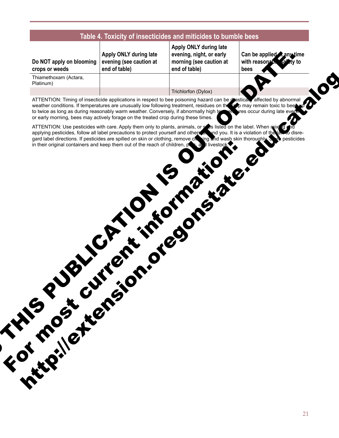|  | Table 4. Toxicity of insecticides and miticides to bumble bees |  |  |  |
|--|----------------------------------------------------------------|--|--|--|
|--|----------------------------------------------------------------|--|--|--|

| Do NOT apply on blooming evening | ∣ Αμμιγ ∪ι    |
|----------------------------------|---------------|
| crops or weeds                   | $ $ end of ta |
|                                  |               |

**Apply ONLY during late see caution at** ble)

**Apply ONLY during late evening, night, or early morning (see caution at end of table)**

Can be applied **any time** with reasonable safety to **bees**

Thiamethoxam (Actara, Platinum)

Trichlorfon (Dylox)

ATTENTION: Timing of insecticide applications in respect to bee poisoning hazard can be deastically affected by abnormal weather conditions. If temperatures are unusually low following treatment, residues on the supply may remain toxic to bees up to twice as long as during reasonably warm weather. Conversely, if abnormally high temperatures occur during late eventing or early morning, bees may actively forage on the treated crop during these times. O THIS PUBLICATION IS NOT THE R. P. 10 M. 2016 http://extension.org/catalogue.edu/catalogue.edu/catalogue.edu/catalogue.edu/catalogue.edu/catalogue.edu/catalogue.edu/catalogue.edu/catalogue.edu/catalogue.edu/catalogue.edu/catalogue.edu/catalogue.edu/catalogue.edu/catal

ATTENTION: Use pesticides with care. Apply them only to plants, animals, or sites listed on the label. When mixing and applying pesticides, follow all label precautions to protect yourself and others are and you. It is a violation of the law to disregard label directions. If pesticides are spilled on skin or clothing, remove clothing and wash skin thoroughly. Store pesticides in their original containers and keep them out of the reach of children,  $p \rightarrow a$  is livestock. For most current information:<br>For most current information: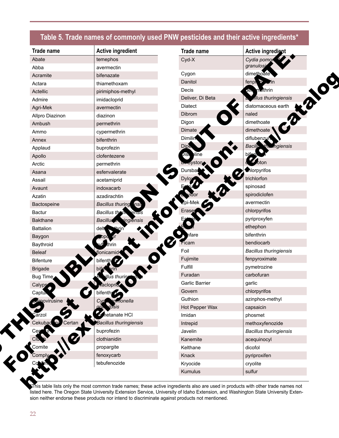# **Table 5. Trade names of commonly used PNW pesticides and their active ingredients\***

| <b>Trade name</b>    | <b>Active ingredient</b>         | <b>Trade name</b> | Active ingredient                       |
|----------------------|----------------------------------|-------------------|-----------------------------------------|
| Abate                | temephos                         | Cyd-X             | Cydia pomo                              |
| Abba                 | avermectin                       |                   | granulosi                               |
| Acramite             | bifenazate                       | Cygon             | dimethoate                              |
| Actara               | thiamethoxam                     | Danitol           | fenph <sub>o</sub><br>$. \overline{AB}$ |
| Actellic             | pirimiphos-methyl                | Decis             | methrin<br><b>ان)</b>                   |
| Admire               | imidacloprid                     | Deliver, Di Beta  | allus thuringiensis                     |
| Agri-Mek             | avermectin                       | Diatect           | diatomaceous earth                      |
| Allpro Diazinon      | diazinon                         | Dibrom            | naled                                   |
| Ambush               | permethrin                       | Digon             | dimethoate                              |
| Ammo                 | cypermethrin                     | Dimate            | dimethoate                              |
| Annex                | bifenthrin                       | <b>Dimilin</b>    | diflubenzun                             |
| Applaud              | buprofezin                       | Dipe              | Bacillo<br>mgiensis<br>the              |
| Apollo               | clofentezene                     | ≱line.<br>ДG.     |                                         |
| Arctic               | permethrin                       | syston            | oton                                    |
| Asana                | esfenvalerate                    | Dursba            | Morpyrifos                              |
| Assail               | acetamiprid                      | Dvlox             | trichlorfon                             |
| Avaunt               | indoxacarb                       |                   | spinosad                                |
| Azatin               | azadirachtin                     |                   | spirodiclofen                           |
| Bactospeine          | <b>Bacillus thuring</b><br>nsl   |                   | avermectin                              |
| Bactur               | <b>Bacillus thryth</b><br>iensis | Erase             | chlorpyrifos                            |
| <b>Bakthane</b>      | ingiénsis<br><b>Bacillus</b>     |                   | pyriproxyfen                            |
| <b>Battalion</b>     | delt                             |                   | ethephon                                |
| Baygon               |                                  | fare              | bifenthrin                              |
| Baythroid            | :hrin                            | Ficam             | bendiocarb                              |
| <b>Beleaf</b>        | flonicamid                       | Foil              | <b>Bacillus thuringiensis</b>           |
| <b>Bifenture</b>     | bifenth<br>P.                    | Fujimite          | fenpyroximate                           |
| <b>Brigade</b>       |                                  | Fulfill           | pymetrozine                             |
| Bug Time             |                                  | Furadan           | carbofuran                              |
| Calyps               | acloprid                         | Garlic Barrier    | garlic                                  |
| Captur               | bifenth                          | Govern            | chlorpyrifos                            |
| Amovirusine          | monella                          | Guthion           | azinphos-methyl                         |
|                      | Jsis                             | Hot Pepper Wax    | capsaicin                               |
| ārzol                | or hetanate HCI                  | Imidan            | phosmet                                 |
| Cekubad na<br>Certan | Bacillus thuringiensis           | Intrepid          | methoxyfenozide                         |
| Cer                  | buprofezin                       | Javelin           | <b>Bacillus thuringiensis</b>           |
|                      | clothianidin                     | Kanemite          | acequinocyl                             |
| Comite               | propargite                       | Kelthane          | dicofol                                 |
| Comply               | fenoxycarb                       | Knack             | pyriproxifen                            |
|                      | tebufenozide                     | Kryocide          | cryolite                                |
|                      |                                  | Kumulus           | sulfur                                  |

\*This table lists only the most common trade names; these active ingredients also are used in products with other trade names not listed here. The Oregon State University Extension Service, University of Idaho Extension, and Washington State University Extension neither endorse these products nor intend to discriminate against products not mentioned.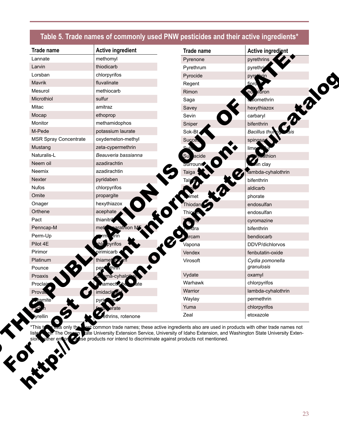# **Table 5. Trade names of commonly used PNW pesticides and their active ingredients\***

| Trade name                   | <b>Active ingredient</b> | Trade name           | Active ingredient                |
|------------------------------|--------------------------|----------------------|----------------------------------|
| Lannate                      | methomyl                 | Pyrenone             | pyrethrins                       |
| Larvin                       | thiodicarb               | Pyrethrum            | pyrethri                         |
| Lorsban                      | chlorpyrifos             | Pyrocide             | pyrethrin                        |
| Mavrik                       | fluvalinate              | Regent               | Æ<br>finro                       |
| Mesurol                      | methiocarb               | Rimon                | $\overline{10}$<br><b>ildron</b> |
| Microthiol                   | sulfur                   | Saga                 | <b>Malomethrin</b>               |
| Mitac                        | amitraz                  | Savey                | ro<br>hexythiazox                |
| Mocap                        | ethoprop                 | Sevin                | carbaryl                         |
| Monitor                      | methamidophos            | Sniper               | bifenthrin                       |
| M-Pede                       | potassium laurate        | Sok-Bt               | <b>Bacillus</b> thu              |
| <b>MSR Spray Concentrate</b> | oxydemeton-methyl        | Succe.               | spinosa                          |
| Mustang                      | zeta-cypermethrin        | வர்                  | lime                             |
| Naturalis-L                  | Beauveria bassianna      | Su acide             | thion                            |
| Neem oil                     | azadirachtin             | Surround             | Ain clay                         |
| Neemix                       | azadirachtin             | Taiga                | lambda-cyhalothrin               |
| Nexter                       | pyridaben                |                      | bifenthrin                       |
| <b>Nufos</b>                 | chlorpyrifos             |                      | aldicarb                         |
| Omite                        | propargite               |                      | phorate                          |
| Onager                       | hexythiazox              | Thiodan <sup>2</sup> | endosulfan                       |
| Orthene                      | acephate                 |                      | endosulfan                       |
| Pact                         | thianitri                |                      | cyromazine                       |
| Penncap-M                    | arathion M<br>met        |                      | bifenthrin                       |
| Perm-Up                      | diin.                    | rcam                 | bendiocarb                       |
| Pilot 4E                     | hle pyrifos              | Vapona               | DDVP/dichlorvos                  |
| Pirimor                      | pirimicarb               | Vendex               | fenbutatin-oxide                 |
| Platinum<br>Pounce           | thiamet<br>OF<br>thm     | Virosoft             | Cydia pomonella<br>granulosis    |
| Proaxis                      | na-cyhalotl              | Vydate               | oxamyl                           |
| Proclair                     | amecti∤                  | Warhawk              | chlorpyrifos                     |
| Prova                        | imidacle <i>file</i>     | Warrior              | lambda-cyhalothrin               |
| vamite                       |                          | Waylay               | permethrin                       |
|                              | rate                     | Yuma                 | chlorpyrifos                     |
| <b>yrellin</b>               | ethrins, rotenone        | Zeal                 | etoxazole                        |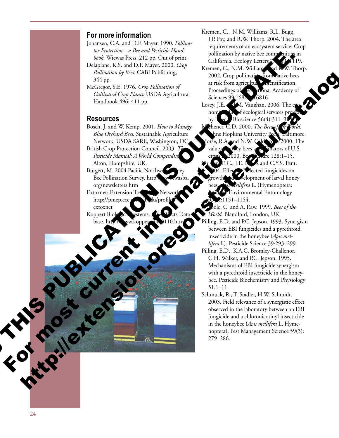#### **For more information**

- Johansen, C.A. and D.F. Mayer. 1990. *Pollinator Protection—a Bee and Pesticide Handbook.* Wicwas Press, 212 pp. Out of print.
- Delaplane, K.S. and D.F. Mayer. 2000. *Crop Pollination by Bees.* CABI Publishing, 344 pp.
- McGregor, S.E. 1976. *Crop Pollination of Cultivated Crop Plants.* USDA Agricultural Handbook 496, 411 pp.

#### **Resources**

- Bosch, J. and W. Kemp. 2001. *How to Manage Blue Orchard Bees.* Sustainable Agriculture Network, USDA SARE, Washington, DC. British Crop Protection Council. 2003. 7 Pesticide Manual: A World Compendiu Alton, Hampshire, UK. For Maritage Marine Award World Reserved By the New York Contains of the New York Contains and the New York Contains and the New York Contains and the New York Contains and the New York Contains and the New York Contains a
	- Burgett, M. 2004 Pacific Northwe Bee Pollination Survey. http: org/newsletters.htm Extoxnet: Extension To
	- http://pmep.cce.cornell.edu/profiles/ extoxnet Koppert Biological Systems. Side Effects Data-
	- base. http://ww.koppert.nl/end110.html
- Kremen, C., N.M. Williams, R.L. Bugg, J.P. Fay, and R.W. Thorp. 2004. The area requirements of an ecosystem service: Crop pollination by native bee communities in California. Ecology Letters
- Kremen, C., N.M. Williams, and R.W. Thorp. 2002. Crop pollination from native bees at risk from agricultural *m* intensification. Proceedings of the Anatomal Academy of Sciences 99:1681, 16816.
- Losey, J.E. **AM.** Vaughan. 2006. The  $\lim_{h \to 0} f$  ecological services p by insect Bioscience  $56(4):311$ Michener, C.D. 2000. *The Bees of the World.*  ns Hopkins University Press, Baltimore. nd N.W.  $\text{Cal}$  on . 2000. The nators of U.S. re  $128:1$  $E. E.$   $\overline{L}$  and C.Y.S. Pent. **Dected fungicides on** elopment of larval honey *ellifera* L. (Hymenoptera: Environmental Entomology The main content of the content of the content of the content of the content of the content of the content of the content of the content of the content of the content of the content of the content of the content of the con http://www.catalogue.com/www.catalogue.com/www.catalogue.com/www.catalogue.com/www.catalogue.com/www.catalogue.com/www.catalogue.com/www.catalogue.com/www.catalogue.com/www.catalogue.com/www.catalogue.com/www.catalogue.com
	- -1154. ole, C. and A. Raw. 1999. *Bees of the*
	- *World.* Blandford, London, UK.
	- Pilling, E.D. and P.C. Jepson. 1993. Synergism between EBI fungicides and a pyrethroid insecticide in the honeybee (*Apis mellifera* L). Pesticide Science 39:293–299.
	- Pilling, E.D., K.A.C. Bromley-Challenor, C.H. Walker, and P.C. Jepson. 1995. Mechanisms of EBI fungicide synergism with a pyrethroid insecticide in the honey bee. Pesticide Biochemistry and Physiology 51:1–11.
	- Schmuck, R., T. Stadler, H.W. Schmidt. 2003. Field relevance of a synergistic effect observed in the laboratory between an EBI fungicide and a chloronicotinyl insecticide in the honeybee (*Apis mellifera* L, Hyme noptera). Pest Management Science 59(3): 279–286.

For the ca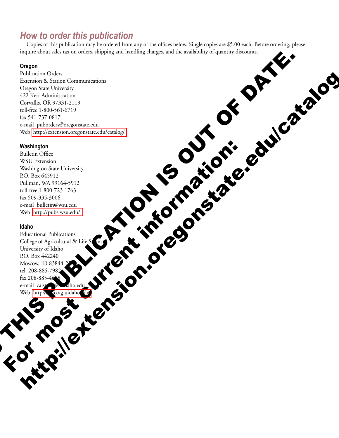# *How to order this publication*

Copies of this publication may be ordered from any of the offices below. Single copies are \$5.00 each. Before ordering, please inquire about sales tax on orders, shipping and handling charges, and the availability of quantity discounts.

#### **Oregon**

Publication Orders Extension & Station Communications Oregon State University 422 Kerr Administration Corvallis, OR 97331-2119 toll-free 1-800-561-6719 fax 541-737-0817 e-mail puborders@oregonstate.edu Web http://extension.oregonstate.edu/catalog/ THI[S](http://info.ag.uidaho.edu/) [PU](http://info.ag.uidaho.edu/)BLICATION OF THE OUT OF DATE. http://extension.org/2011/2012/2012

#### **Washington**

Bulletin Office WSU Extension Washington State University P.O. Box 645912 Pullman, WA 99164-5912 toll-free 1-800-723-1763 fax 509-335-3006 e-mail bulletin@wsu.edu Web http://pubs.wsu.edu/

#### **Idaho**

R. M.

Educational Publications College of Agricultural & Life Science University of Idaho P.O. Box 442240 Moscow, ID 83844-2240 tel. 208-885-7982 fax 208-885-46<sup>4</sup>8 e-mail calspubs @uidaho.edu Web http:// fo.ag.uidaho du We there are a stream in the street of the street of the street of the street of the street of the street of the street of the street of the street of the street of the street of the street of the street of the street of t